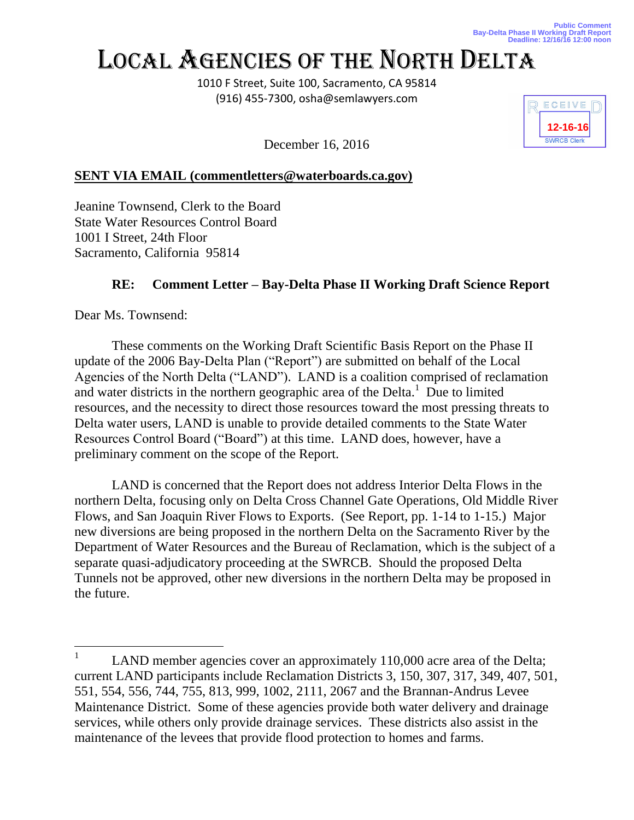## LOCAL AGENCIES OF THE NORTH DELTA

1010 F Street, Suite 100, Sacramento, CA 95814 (916) 455-7300, osha@semlawyers.com



December 16, 2016

## **SENT VIA EMAIL (commentletters@waterboards.ca.gov)**

Jeanine Townsend, Clerk to the Board State Water Resources Control Board 1001 I Street, 24th Floor Sacramento, California 95814

## **RE: Comment Letter – Bay-Delta Phase II Working Draft Science Report**

Dear Ms. Townsend:

These comments on the Working Draft Scientific Basis Report on the Phase II update of the 2006 Bay-Delta Plan ("Report") are submitted on behalf of the Local Agencies of the North Delta ("LAND"). LAND is a coalition comprised of reclamation and water districts in the northern geographic area of the Delta. $1$  Due to limited resources, and the necessity to direct those resources toward the most pressing threats to Delta water users, LAND is unable to provide detailed comments to the State Water Resources Control Board ("Board") at this time. LAND does, however, have a preliminary comment on the scope of the Report.

LAND is concerned that the Report does not address Interior Delta Flows in the northern Delta, focusing only on Delta Cross Channel Gate Operations, Old Middle River Flows, and San Joaquin River Flows to Exports. (See Report, pp. 1-14 to 1-15.) Major new diversions are being proposed in the northern Delta on the Sacramento River by the Department of Water Resources and the Bureau of Reclamation, which is the subject of a separate quasi-adjudicatory proceeding at the SWRCB. Should the proposed Delta Tunnels not be approved, other new diversions in the northern Delta may be proposed in the future.

<sup>1</sup> LAND member agencies cover an approximately 110,000 acre area of the Delta; current LAND participants include Reclamation Districts 3, 150, 307, 317, 349, 407, 501, 551, 554, 556, 744, 755, 813, 999, 1002, 2111, 2067 and the Brannan-Andrus Levee Maintenance District. Some of these agencies provide both water delivery and drainage services, while others only provide drainage services. These districts also assist in the maintenance of the levees that provide flood protection to homes and farms.